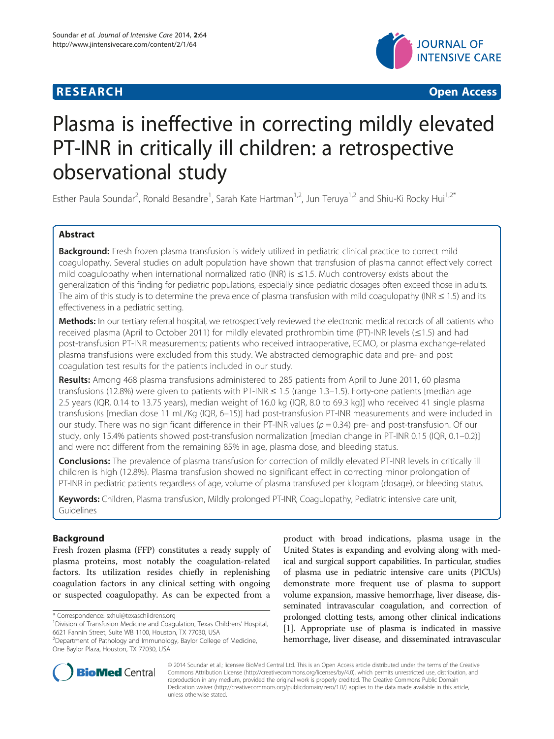



# Plasma is ineffective in correcting mildly elevated PT-INR in critically ill children: a retrospective observational study

Esther Paula Soundar<sup>2</sup>, Ronald Besandre<sup>1</sup>, Sarah Kate Hartman<sup>1,2</sup>, Jun Teruya<sup>1,2</sup> and Shiu-Ki Rocky Hui<sup>1,2\*</sup>

# Abstract

Background: Fresh frozen plasma transfusion is widely utilized in pediatric clinical practice to correct mild coagulopathy. Several studies on adult population have shown that transfusion of plasma cannot effectively correct mild coagulopathy when international normalized ratio (INR) is  $\leq$ 1.5. Much controversy exists about the generalization of this finding for pediatric populations, especially since pediatric dosages often exceed those in adults. The aim of this study is to determine the prevalence of plasma transfusion with mild coagulopathy (INR  $\leq$  1.5) and its effectiveness in a pediatric setting.

Methods: In our tertiary referral hospital, we retrospectively reviewed the electronic medical records of all patients who received plasma (April to October 2011) for mildly elevated prothrombin time (PT)-INR levels (≤1.5) and had post-transfusion PT-INR measurements; patients who received intraoperative, ECMO, or plasma exchange-related plasma transfusions were excluded from this study. We abstracted demographic data and pre- and post coagulation test results for the patients included in our study.

Results: Among 468 plasma transfusions administered to 285 patients from April to June 2011, 60 plasma transfusions (12.8%) were given to patients with PT-INR ≤ 1.5 (range 1.3–1.5). Forty-one patients [median age 2.5 years (IQR, 0.14 to 13.75 years), median weight of 16.0 kg (IQR, 8.0 to 69.3 kg)] who received 41 single plasma transfusions [median dose 11 mL/Kg (IQR, 6–15)] had post-transfusion PT-INR measurements and were included in our study. There was no significant difference in their PT-INR values ( $p = 0.34$ ) pre- and post-transfusion. Of our study, only 15.4% patients showed post-transfusion normalization [median change in PT-INR 0.15 (IQR, 0.1–0.2)] and were not different from the remaining 85% in age, plasma dose, and bleeding status.

Conclusions: The prevalence of plasma transfusion for correction of mildly elevated PT-INR levels in critically ill children is high (12.8%). Plasma transfusion showed no significant effect in correcting minor prolongation of PT-INR in pediatric patients regardless of age, volume of plasma transfused per kilogram (dosage), or bleeding status.

Keywords: Children, Plasma transfusion, Mildly prolonged PT-INR, Coagulopathy, Pediatric intensive care unit, Guidelines

# Background

Fresh frozen plasma (FFP) constitutes a ready supply of plasma proteins, most notably the coagulation-related factors. Its utilization resides chiefly in replenishing coagulation factors in any clinical setting with ongoing or suspected coagulopathy. As can be expected from a

product with broad indications, plasma usage in the United States is expanding and evolving along with medical and surgical support capabilities. In particular, studies of plasma use in pediatric intensive care units (PICUs) demonstrate more frequent use of plasma to support volume expansion, massive hemorrhage, liver disease, disseminated intravascular coagulation, and correction of prolonged clotting tests, among other clinical indications [[1\]](#page-4-0). Appropriate use of plasma is indicated in massive hemorrhage, liver disease, and disseminated intravascular



© 2014 Soundar et al.; licensee BioMed Central Ltd. This is an Open Access article distributed under the terms of the Creative Commons Attribution License [\(http://creativecommons.org/licenses/by/4.0\)](http://creativecommons.org/licenses/by/4.0), which permits unrestricted use, distribution, and reproduction in any medium, provided the original work is properly credited. The Creative Commons Public Domain Dedication waiver [\(http://creativecommons.org/publicdomain/zero/1.0/](http://creativecommons.org/publicdomain/zero/1.0/)) applies to the data made available in this article, unless otherwise stated.

<sup>\*</sup> Correspondence: [sxhui@texaschildrens.org](mailto:sxhui@texaschildrens.org) <sup>1</sup>

<sup>&</sup>lt;sup>1</sup> Division of Transfusion Medicine and Coagulation, Texas Childrens' Hospital, 6621 Fannin Street, Suite WB 1100, Houston, TX 77030, USA

<sup>&</sup>lt;sup>2</sup>Department of Pathology and Immunology, Baylor College of Medicine, One Baylor Plaza, Houston, TX 77030, USA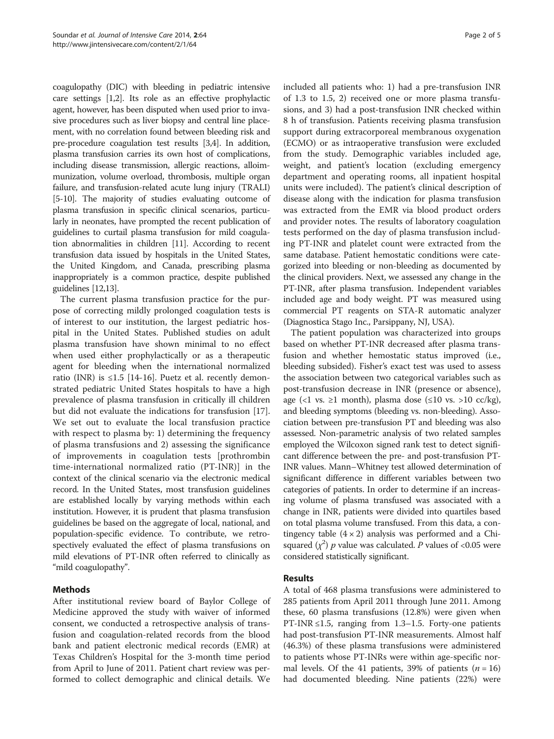coagulopathy (DIC) with bleeding in pediatric intensive care settings [\[1,2](#page-4-0)]. Its role as an effective prophylactic agent, however, has been disputed when used prior to invasive procedures such as liver biopsy and central line placement, with no correlation found between bleeding risk and pre-procedure coagulation test results [\[3,4\]](#page-4-0). In addition, plasma transfusion carries its own host of complications, including disease transmission, allergic reactions, alloimmunization, volume overload, thrombosis, multiple organ failure, and transfusion-related acute lung injury (TRALI) [[5-10](#page-4-0)]. The majority of studies evaluating outcome of plasma transfusion in specific clinical scenarios, particularly in neonates, have prompted the recent publication of guidelines to curtail plasma transfusion for mild coagulation abnormalities in children [\[11](#page-4-0)]. According to recent transfusion data issued by hospitals in the United States, the United Kingdom, and Canada, prescribing plasma inappropriately is a common practice, despite published guidelines [[12,13\]](#page-4-0).

The current plasma transfusion practice for the purpose of correcting mildly prolonged coagulation tests is of interest to our institution, the largest pediatric hospital in the United States. Published studies on adult plasma transfusion have shown minimal to no effect when used either prophylactically or as a therapeutic agent for bleeding when the international normalized ratio (INR) is  $\leq$ 1.5 [\[14-16](#page-4-0)]. Puetz et al. recently demonstrated pediatric United States hospitals to have a high prevalence of plasma transfusion in critically ill children but did not evaluate the indications for transfusion [\[17](#page-4-0)]. We set out to evaluate the local transfusion practice with respect to plasma by: 1) determining the frequency of plasma transfusions and 2) assessing the significance of improvements in coagulation tests [prothrombin time-international normalized ratio (PT-INR)] in the context of the clinical scenario via the electronic medical record. In the United States, most transfusion guidelines are established locally by varying methods within each institution. However, it is prudent that plasma transfusion guidelines be based on the aggregate of local, national, and population-specific evidence. To contribute, we retrospectively evaluated the effect of plasma transfusions on mild elevations of PT-INR often referred to clinically as "mild coagulopathy".

# Methods

After institutional review board of Baylor College of Medicine approved the study with waiver of informed consent, we conducted a retrospective analysis of transfusion and coagulation-related records from the blood bank and patient electronic medical records (EMR) at Texas Children's Hospital for the 3-month time period from April to June of 2011. Patient chart review was performed to collect demographic and clinical details. We included all patients who: 1) had a pre-transfusion INR of 1.3 to 1.5, 2) received one or more plasma transfusions, and 3) had a post-transfusion INR checked within 8 h of transfusion. Patients receiving plasma transfusion support during extracorporeal membranous oxygenation (ECMO) or as intraoperative transfusion were excluded from the study. Demographic variables included age, weight, and patient's location (excluding emergency department and operating rooms, all inpatient hospital units were included). The patient's clinical description of disease along with the indication for plasma transfusion was extracted from the EMR via blood product orders and provider notes. The results of laboratory coagulation tests performed on the day of plasma transfusion including PT-INR and platelet count were extracted from the same database. Patient hemostatic conditions were categorized into bleeding or non-bleeding as documented by the clinical providers. Next, we assessed any change in the PT-INR, after plasma transfusion. Independent variables included age and body weight. PT was measured using commercial PT reagents on STA-R automatic analyzer (Diagnostica Stago Inc., Parsippany, NJ, USA).

The patient population was characterized into groups based on whether PT-INR decreased after plasma transfusion and whether hemostatic status improved (i.e., bleeding subsided). Fisher's exact test was used to assess the association between two categorical variables such as post-transfusion decrease in INR (presence or absence), age (<1 vs. ≥1 month), plasma dose (≤10 vs. >10 cc/kg), and bleeding symptoms (bleeding vs. non-bleeding). Association between pre-transfusion PT and bleeding was also assessed. Non-parametric analysis of two related samples employed the Wilcoxon signed rank test to detect significant difference between the pre- and post-transfusion PT-INR values. Mann–Whitney test allowed determination of significant difference in different variables between two categories of patients. In order to determine if an increasing volume of plasma transfused was associated with a change in INR, patients were divided into quartiles based on total plasma volume transfused. From this data, a contingency table  $(4 \times 2)$  analysis was performed and a Chisquared  $(\chi^2)$  *p* value was calculated. *P* values of <0.05 were considered statistically significant.

# Results

A total of 468 plasma transfusions were administered to 285 patients from April 2011 through June 2011. Among these, 60 plasma transfusions (12.8%) were given when PT-INR ≤1.5, ranging from 1.3–1.5. Forty-one patients had post-transfusion PT-INR measurements. Almost half (46.3%) of these plasma transfusions were administered to patients whose PT-INRs were within age-specific normal levels. Of the 41 patients, 39% of patients  $(n = 16)$ had documented bleeding. Nine patients (22%) were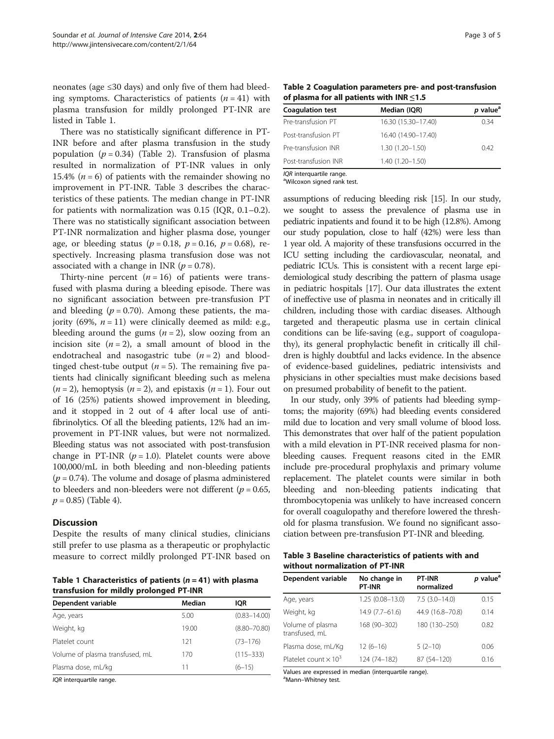neonates (age ≤30 days) and only five of them had bleeding symptoms. Characteristics of patients  $(n = 41)$  with plasma transfusion for mildly prolonged PT-INR are listed in Table 1.

There was no statistically significant difference in PT-INR before and after plasma transfusion in the study population  $(p = 0.34)$  (Table 2). Transfusion of plasma resulted in normalization of PT-INR values in only 15.4% ( $n = 6$ ) of patients with the remainder showing no improvement in PT-INR. Table 3 describes the characteristics of these patients. The median change in PT-INR for patients with normalization was 0.15 (IQR, 0.1–0.2). There was no statistically significant association between PT-INR normalization and higher plasma dose, younger age, or bleeding status ( $p = 0.18$ ,  $p = 0.16$ ,  $p = 0.68$ ), respectively. Increasing plasma transfusion dose was not associated with a change in INR ( $p = 0.78$ ).

Thirty-nine percent  $(n = 16)$  of patients were transfused with plasma during a bleeding episode. There was no significant association between pre-transfusion PT and bleeding  $(p = 0.70)$ . Among these patients, the majority (69%,  $n = 11$ ) were clinically deemed as mild: e.g., bleeding around the gums  $(n = 2)$ , slow oozing from an incision site  $(n = 2)$ , a small amount of blood in the endotracheal and nasogastric tube  $(n = 2)$  and bloodtinged chest-tube output ( $n = 5$ ). The remaining five patients had clinically significant bleeding such as melena  $(n = 2)$ , hemoptysis  $(n = 2)$ , and epistaxis  $(n = 1)$ . Four out of 16 (25%) patients showed improvement in bleeding, and it stopped in 2 out of 4 after local use of antifibrinolytics. Of all the bleeding patients, 12% had an improvement in PT-INR values, but were not normalized. Bleeding status was not associated with post-transfusion change in PT-INR  $(p = 1.0)$ . Platelet counts were above 100,000/mL in both bleeding and non-bleeding patients  $(p = 0.74)$ . The volume and dosage of plasma administered to bleeders and non-bleeders were not different ( $p = 0.65$ ,  $p = 0.85$ ) (Table [4\)](#page-3-0).

# **Discussion**

Despite the results of many clinical studies, clinicians still prefer to use plasma as a therapeutic or prophylactic measure to correct mildly prolonged PT-INR based on

Table 1 Characteristics of patients ( $n = 41$ ) with plasma transfusion for mildly prolonged PT-INR

| Dependent variable              | Median | IOR              |
|---------------------------------|--------|------------------|
| Age, years                      | 5.00   | $(0.83 - 14.00)$ |
| Weight, kg                      | 19.00  | $(8.80 - 70.80)$ |
| Platelet count                  | 121    | $(73 - 176)$     |
| Volume of plasma transfused, mL | 170    | $(115 - 333)$    |
| Plasma dose, mL/kg              | 11     | $(6 - 15)$       |

IQR interquartile range.

Table 2 Coagulation parameters pre- and post-transfusion of plasma for all patients with INR ≤1.5

| <b>Coagulation test</b> | Median (IQR)        | <i>p</i> value <sup>a</sup> |
|-------------------------|---------------------|-----------------------------|
| Pre-transfusion PT      | 16.30 (15.30-17.40) | 0.34                        |
| Post-transfusion PT     | 16.40 (14.90-17.40) |                             |
| Pre-transfusion INR     | $1.30(1.20 - 1.50)$ | 042                         |
| Post-transfusion INR    | $1.40(1.20 - 1.50)$ |                             |
|                         |                     |                             |

 $IQR$  interquartile range. Wilcoxon signed rank test.

assumptions of reducing bleeding risk [[15\]](#page-4-0). In our study, we sought to assess the prevalence of plasma use in pediatric inpatients and found it to be high (12.8%). Among our study population, close to half (42%) were less than 1 year old. A majority of these transfusions occurred in the ICU setting including the cardiovascular, neonatal, and pediatric ICUs. This is consistent with a recent large epidemiological study describing the pattern of plasma usage in pediatric hospitals [\[17](#page-4-0)]. Our data illustrates the extent of ineffective use of plasma in neonates and in critically ill children, including those with cardiac diseases. Although targeted and therapeutic plasma use in certain clinical conditions can be life-saving (e.g., support of coagulopathy), its general prophylactic benefit in critically ill children is highly doubtful and lacks evidence. In the absence of evidence-based guidelines, pediatric intensivists and physicians in other specialties must make decisions based on presumed probability of benefit to the patient.

In our study, only 39% of patients had bleeding symptoms; the majority (69%) had bleeding events considered mild due to location and very small volume of blood loss. This demonstrates that over half of the patient population with a mild elevation in PT-INR received plasma for nonbleeding causes. Frequent reasons cited in the EMR include pre-procedural prophylaxis and primary volume replacement. The platelet counts were similar in both bleeding and non-bleeding patients indicating that thrombocytopenia was unlikely to have increased concern for overall coagulopathy and therefore lowered the threshold for plasma transfusion. We found no significant association between pre-transfusion PT-INR and bleeding.

| Table 3 Baseline characteristics of patients with and |  |
|-------------------------------------------------------|--|
| without normalization of PT-INR                       |  |

| No change in<br><b>PT-INR</b> | <b>PT-INR</b><br>normalized | p value <sup>a</sup> |
|-------------------------------|-----------------------------|----------------------|
| $1.25(0.08 - 13.0)$           | $7.5(3.0-14.0)$             | 0.15                 |
| 14.9 (7.7-61.6)               | 44.9 (16.8-70.8)            | 0.14                 |
| 168 (90-302)                  | 180 (130-250)               | 0.82                 |
| $12(6-16)$                    | $5(2-10)$                   | 0.06                 |
| 124 (74-182)                  | 87 (54-120)                 | 0.16                 |
|                               |                             |                      |

Values are expressed in median (interquartile range).

a Mann–Whitney test.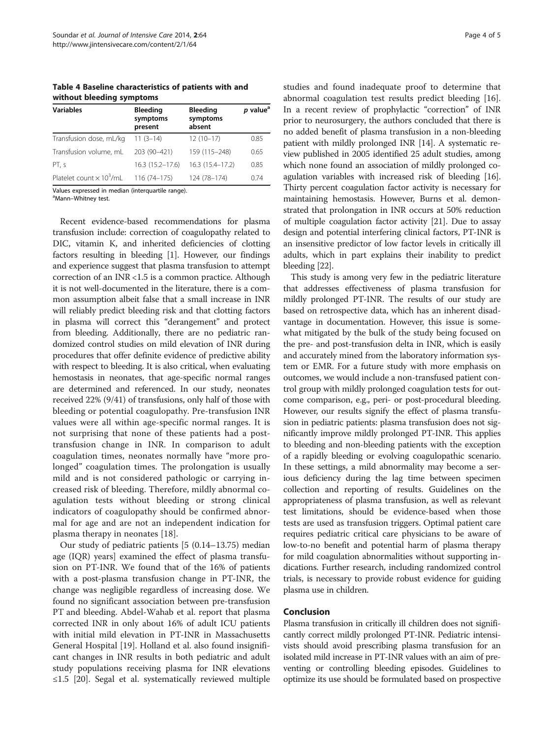<span id="page-3-0"></span>Table 4 Baseline characteristics of patients with and without bleeding symptoms

| <b>Variables</b>                 | <b>Bleeding</b><br>symptoms<br>present | <b>Bleeding</b><br>symptoms<br>absent | p value <sup>a</sup> |
|----------------------------------|----------------------------------------|---------------------------------------|----------------------|
| Transfusion dose, mL/kg          | $11(3-14)$                             | $12(10-17)$                           | 0.85                 |
| Transfusion volume, mL           | 203 (90-421)                           | 159 (115-248)                         | 0.65                 |
| PT, s                            | 16.3 (15.2-17.6)                       | 16.3 (15.4-17.2)                      | 0.85                 |
| Platelet count $\times 10^3$ /mL | $116(74 - 175)$                        | 124 (78-174)                          | 0.74                 |

Values expressed in median (interquartile range).

<sup>a</sup>Mann–Whitney test.

Recent evidence-based recommendations for plasma transfusion include: correction of coagulopathy related to DIC, vitamin K, and inherited deficiencies of clotting factors resulting in bleeding [[1](#page-4-0)]. However, our findings and experience suggest that plasma transfusion to attempt correction of an INR <1.5 is a common practice. Although it is not well-documented in the literature, there is a common assumption albeit false that a small increase in INR will reliably predict bleeding risk and that clotting factors in plasma will correct this "derangement" and protect from bleeding. Additionally, there are no pediatric randomized control studies on mild elevation of INR during procedures that offer definite evidence of predictive ability with respect to bleeding. It is also critical, when evaluating hemostasis in neonates, that age-specific normal ranges are determined and referenced. In our study, neonates received 22% (9/41) of transfusions, only half of those with bleeding or potential coagulopathy. Pre-transfusion INR values were all within age-specific normal ranges. It is not surprising that none of these patients had a posttransfusion change in INR. In comparison to adult coagulation times, neonates normally have "more prolonged" coagulation times. The prolongation is usually mild and is not considered pathologic or carrying increased risk of bleeding. Therefore, mildly abnormal coagulation tests without bleeding or strong clinical indicators of coagulopathy should be confirmed abnormal for age and are not an independent indication for plasma therapy in neonates [[18](#page-4-0)].

Our study of pediatric patients [5 (0.14–13.75) median age (IQR) years] examined the effect of plasma transfusion on PT-INR. We found that of the 16% of patients with a post-plasma transfusion change in PT-INR, the change was negligible regardless of increasing dose. We found no significant association between pre-transfusion PT and bleeding. Abdel-Wahab et al. report that plasma corrected INR in only about 16% of adult ICU patients with initial mild elevation in PT-INR in Massachusetts General Hospital [\[19](#page-4-0)]. Holland et al. also found insignificant changes in INR results in both pediatric and adult study populations receiving plasma for INR elevations ≤1.5 [\[20\]](#page-4-0). Segal et al. systematically reviewed multiple studies and found inadequate proof to determine that abnormal coagulation test results predict bleeding [\[16](#page-4-0)]. In a recent review of prophylactic "correction" of INR prior to neurosurgery, the authors concluded that there is no added benefit of plasma transfusion in a non-bleeding patient with mildly prolonged INR [\[14\]](#page-4-0). A systematic review published in 2005 identified 25 adult studies, among which none found an association of mildly prolonged coagulation variables with increased risk of bleeding [[16](#page-4-0)]. Thirty percent coagulation factor activity is necessary for maintaining hemostasis. However, Burns et al. demonstrated that prolongation in INR occurs at 50% reduction of multiple coagulation factor activity [[21](#page-4-0)]. Due to assay design and potential interfering clinical factors, PT-INR is an insensitive predictor of low factor levels in critically ill adults, which in part explains their inability to predict bleeding [\[22\]](#page-4-0).

This study is among very few in the pediatric literature that addresses effectiveness of plasma transfusion for mildly prolonged PT-INR. The results of our study are based on retrospective data, which has an inherent disadvantage in documentation. However, this issue is somewhat mitigated by the bulk of the study being focused on the pre- and post-transfusion delta in INR, which is easily and accurately mined from the laboratory information system or EMR. For a future study with more emphasis on outcomes, we would include a non-transfused patient control group with mildly prolonged coagulation tests for outcome comparison, e.g., peri- or post-procedural bleeding. However, our results signify the effect of plasma transfusion in pediatric patients: plasma transfusion does not significantly improve mildly prolonged PT-INR. This applies to bleeding and non-bleeding patients with the exception of a rapidly bleeding or evolving coagulopathic scenario. In these settings, a mild abnormality may become a serious deficiency during the lag time between specimen collection and reporting of results. Guidelines on the appropriateness of plasma transfusion, as well as relevant test limitations, should be evidence-based when those tests are used as transfusion triggers. Optimal patient care requires pediatric critical care physicians to be aware of low-to-no benefit and potential harm of plasma therapy for mild coagulation abnormalities without supporting indications. Further research, including randomized control trials, is necessary to provide robust evidence for guiding plasma use in children.

## Conclusion

Plasma transfusion in critically ill children does not significantly correct mildly prolonged PT-INR. Pediatric intensivists should avoid prescribing plasma transfusion for an isolated mild increase in PT-INR values with an aim of preventing or controlling bleeding episodes. Guidelines to optimize its use should be formulated based on prospective